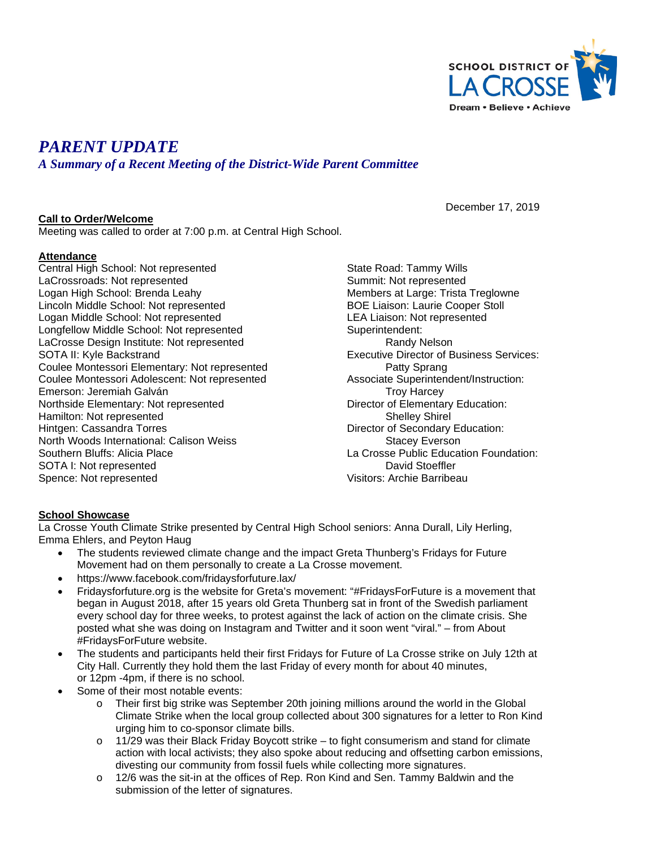

# *PARENT UPDATE*

*A Summary of a Recent Meeting of the District-Wide Parent Committee*

#### **Call to Order/Welcome**

December 17, 2019

Meeting was called to order at 7:00 p.m. at Central High School.

#### **Attendance**

Central High School: Not represented LaCrossroads: Not represented Logan High School: Brenda Leahy Lincoln Middle School: Not represented Logan Middle School: Not represented Longfellow Middle School: Not represented LaCrosse Design Institute: Not represented SOTA II: Kyle Backstrand Coulee Montessori Elementary: Not represented Coulee Montessori Adolescent: Not represented Emerson: Jeremiah Galván Northside Elementary: Not represented Hamilton: Not represented Hintgen: Cassandra Torres North Woods International: Calison Weiss Southern Bluffs: Alicia Place SOTA I: Not represented Spence: Not represented

State Road: Tammy Wills Summit: Not represented Members at Large: Trista Treglowne BOE Liaison: Laurie Cooper Stoll LEA Liaison: Not represented Superintendent: Randy Nelson Executive Director of Business Services: Patty Sprang Associate Superintendent/Instruction: Troy Harcey Director of Elementary Education: Shelley Shirel Director of Secondary Education: Stacey Everson La Crosse Public Education Foundation: David Stoeffler Visitors: Archie Barribeau

#### **School Showcase**

La Crosse Youth Climate Strike presented by Central High School seniors: Anna Durall, Lily Herling, Emma Ehlers, and Peyton Haug

- The students reviewed climate change and the impact Greta Thunberg's Fridays for Future Movement had on them personally to create a La Crosse movement.
- https://www.facebook.com/fridaysforfuture.lax/
- Fridaysforfuture.org is the website for Greta's movement: "#FridaysForFuture is a movement that began in August 2018, after 15 years old Greta Thunberg sat in front of the Swedish parliament every school day for three weeks, to protest against the lack of action on the climate crisis. She posted what she was doing on Instagram and Twitter and it soon went "viral." – from About #FridaysForFuture website.
- The students and participants held their first Fridays for Future of La Crosse strike on July 12th at City Hall. Currently they hold them the last Friday of every month for about 40 minutes, or 12pm -4pm, if there is no school.
- Some of their most notable events:
	- o Their first big strike was September 20th joining millions around the world in the Global Climate Strike when the local group collected about 300 signatures for a letter to Ron Kind urging him to co-sponsor climate bills.
	- $\circ$  11/29 was their Black Friday Boycott strike to fight consumerism and stand for climate action with local activists; they also spoke about reducing and offsetting carbon emissions, divesting our community from fossil fuels while collecting more signatures.
	- $\circ$  12/6 was the sit-in at the offices of Rep. Ron Kind and Sen. Tammy Baldwin and the submission of the letter of signatures.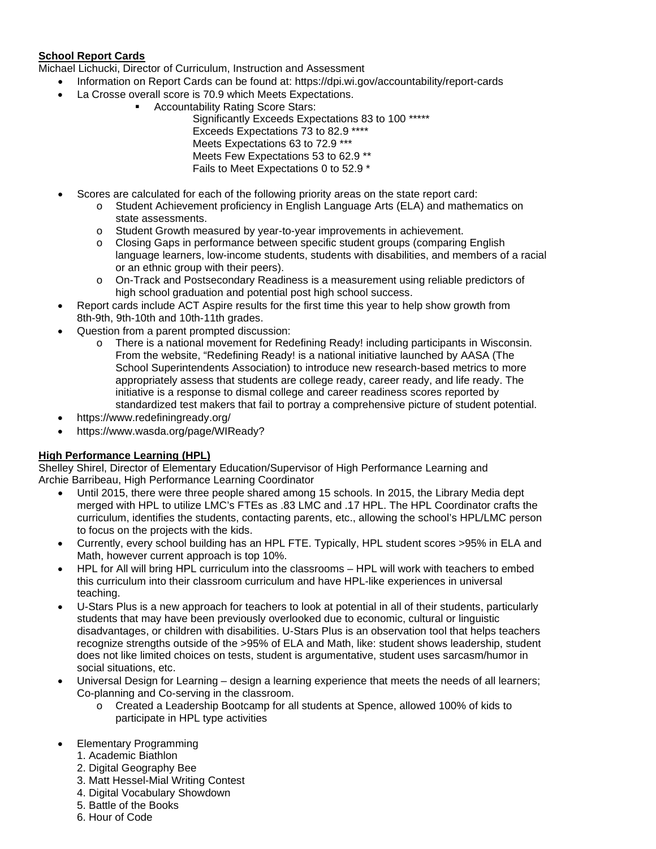## **School Report Cards**

Michael Lichucki, Director of Curriculum, Instruction and Assessment

- Information on Report Cards can be found at: https://dpi.wi.gov/accountability/report-cards
- La Crosse overall score is 70.9 which Meets Expectations.
	- Accountability Rating Score Stars:

Significantly Exceeds Expectations 83 to 100 \*\*\*\*\* Exceeds Expectations 73 to 82.9 \*\*\*\* Meets Expectations 63 to 72.9 \*\*\* Meets Few Expectations 53 to 62.9 \*\* Fails to Meet Expectations 0 to 52.9 \*

- Scores are calculated for each of the following priority areas on the state report card:
	- o Student Achievement proficiency in English Language Arts (ELA) and mathematics on state assessments.
	- o Student Growth measured by year-to-year improvements in achievement.
	- o Closing Gaps in performance between specific student groups (comparing English language learners, low-income students, students with disabilities, and members of a racial or an ethnic group with their peers).
	- o On-Track and Postsecondary Readiness is a measurement using reliable predictors of high school graduation and potential post high school success.
- Report cards include ACT Aspire results for the first time this year to help show growth from 8th-9th, 9th-10th and 10th-11th grades.
- Question from a parent prompted discussion:
	- o There is a national movement for Redefining Ready! including participants in Wisconsin. From the website, "Redefining Ready! is a national initiative launched by AASA (The School Superintendents Association) to introduce new research-based metrics to more appropriately assess that students are college ready, career ready, and life ready. The initiative is a response to dismal college and career readiness scores reported by standardized test makers that fail to portray a comprehensive picture of student potential.
- https://www.redefiningready.org/
- https://www.wasda.org/page/WIReady?

### **High Performance Learning (HPL)**

Shelley Shirel, Director of Elementary Education/Supervisor of High Performance Learning and Archie Barribeau, High Performance Learning Coordinator

- Until 2015, there were three people shared among 15 schools. In 2015, the Library Media dept merged with HPL to utilize LMC's FTEs as .83 LMC and .17 HPL. The HPL Coordinator crafts the curriculum, identifies the students, contacting parents, etc., allowing the school's HPL/LMC person to focus on the projects with the kids.
- Currently, every school building has an HPL FTE. Typically, HPL student scores >95% in ELA and Math, however current approach is top 10%.
- HPL for All will bring HPL curriculum into the classrooms HPL will work with teachers to embed this curriculum into their classroom curriculum and have HPL-like experiences in universal teaching.
- U-Stars Plus is a new approach for teachers to look at potential in all of their students, particularly students that may have been previously overlooked due to economic, cultural or linguistic disadvantages, or children with disabilities. U-Stars Plus is an observation tool that helps teachers recognize strengths outside of the >95% of ELA and Math, like: student shows leadership, student does not like limited choices on tests, student is argumentative, student uses sarcasm/humor in social situations, etc.
- Universal Design for Learning design a learning experience that meets the needs of all learners; Co-planning and Co-serving in the classroom.
	- o Created a Leadership Bootcamp for all students at Spence, allowed 100% of kids to participate in HPL type activities
- Elementary Programming
	- 1. Academic Biathlon
	- 2. Digital Geography Bee
	- 3. Matt Hessel-Mial Writing Contest
	- 4. Digital Vocabulary Showdown
	- 5. Battle of the Books
	- 6. Hour of Code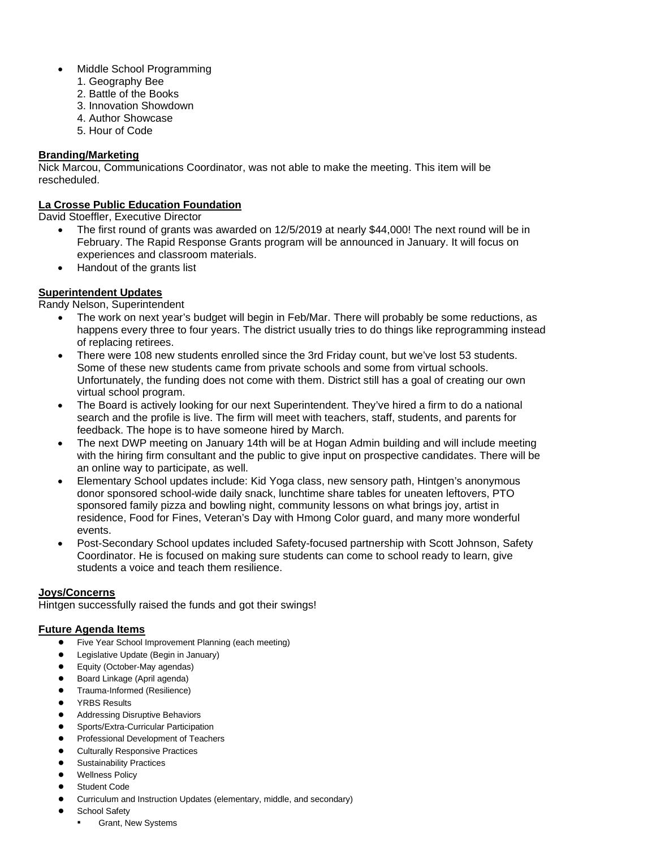- Middle School Programming
	- 1. Geography Bee
	- 2. Battle of the Books
	- 3. Innovation Showdown
	- 4. Author Showcase
	- 5. Hour of Code

#### **Branding/Marketing**

Nick Marcou, Communications Coordinator, was not able to make the meeting. This item will be rescheduled.

#### **La Crosse Public Education Foundation**

David Stoeffler, Executive Director

- The first round of grants was awarded on 12/5/2019 at nearly \$44,000! The next round will be in February. The Rapid Response Grants program will be announced in January. It will focus on experiences and classroom materials.
- Handout of the grants list

#### **Superintendent Updates**

Randy Nelson, Superintendent

- The work on next year's budget will begin in Feb/Mar. There will probably be some reductions, as happens every three to four years. The district usually tries to do things like reprogramming instead of replacing retirees.
- There were 108 new students enrolled since the 3rd Friday count, but we've lost 53 students. Some of these new students came from private schools and some from virtual schools. Unfortunately, the funding does not come with them. District still has a goal of creating our own virtual school program.
- The Board is actively looking for our next Superintendent. They've hired a firm to do a national search and the profile is live. The firm will meet with teachers, staff, students, and parents for feedback. The hope is to have someone hired by March.
- The next DWP meeting on January 14th will be at Hogan Admin building and will include meeting with the hiring firm consultant and the public to give input on prospective candidates. There will be an online way to participate, as well.
- Elementary School updates include: Kid Yoga class, new sensory path, Hintgen's anonymous donor sponsored school-wide daily snack, lunchtime share tables for uneaten leftovers, PTO sponsored family pizza and bowling night, community lessons on what brings joy, artist in residence, Food for Fines, Veteran's Day with Hmong Color guard, and many more wonderful events.
- Post-Secondary School updates included Safety-focused partnership with Scott Johnson, Safety Coordinator. He is focused on making sure students can come to school ready to learn, give students a voice and teach them resilience.

#### **Joys/Concerns**

Hintgen successfully raised the funds and got their swings!

#### **Future Agenda Items**

- Five Year School Improvement Planning (each meeting)
- Legislative Update (Begin in January)
- Equity (October-May agendas)
- Board Linkage (April agenda)
- Trauma-Informed (Resilience)
- **YRBS Results**
- **Addressing Disruptive Behaviors**
- Sports/Extra-Curricular Participation
- Professional Development of Teachers
- **Culturally Responsive Practices**
- **Sustainability Practices**
- **Wellness Policy**
- **Student Code**
- Curriculum and Instruction Updates (elementary, middle, and secondary)
- **School Safety** 
	- **Grant, New Systems**